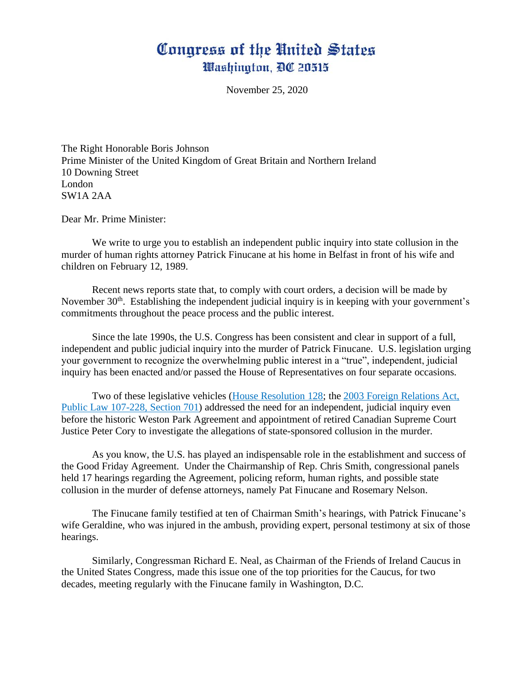## Congress of the United States Washington, DC 20515

November 25, 2020

The Right Honorable Boris Johnson Prime Minister of the United Kingdom of Great Britain and Northern Ireland 10 Downing Street London SW1A 2AA

Dear Mr. Prime Minister:

We write to urge you to establish an independent public inquiry into state collusion in the murder of human rights attorney Patrick Finucane at his home in Belfast in front of his wife and children on February 12, 1989.

Recent news reports state that, to comply with court orders, a decision will be made by November  $30<sup>th</sup>$ . Establishing the independent judicial inquiry is in keeping with your government's commitments throughout the peace process and the public interest.

Since the late 1990s, the U.S. Congress has been consistent and clear in support of a full, independent and public judicial inquiry into the murder of Patrick Finucane. U.S. legislation urging your government to recognize the overwhelming public interest in a "true", independent, judicial inquiry has been enacted and/or passed the House of Representatives on four separate occasions.

Two of these legislative vehicles [\(House Resolution 128; the 2003 Foreign Relations Act,](https://urldefense.proofpoint.com/v2/url?u=https-3A__www.congress.gov_congressional-2Dreport_107th-2Dcongress_house-2Dreport_671_1-3Foverview-3Dclosed&d=DwMFaQ&c=L93KkjKsAC98uTvC4KvQDdTDRzAeWDDRmG6S3YXllH0&r=9zQ6VeoyaVflniCgJhF9ISiiw9Sy4K56tVQKknobeYA&m=CIOxdoJuNg19VyX5CsvXM64iIKYMKP1GCS0yl2yHKaQ&s=uIJVk1CPyjsVxDZB-Nm6ugtHFgtz1SOVrFFPB8q4H70&e=)  [Public Law 107-228, Section 701\)](https://urldefense.proofpoint.com/v2/url?u=https-3A__www.congress.gov_congressional-2Dreport_107th-2Dcongress_house-2Dreport_671_1-3Foverview-3Dclosed&d=DwMFaQ&c=L93KkjKsAC98uTvC4KvQDdTDRzAeWDDRmG6S3YXllH0&r=9zQ6VeoyaVflniCgJhF9ISiiw9Sy4K56tVQKknobeYA&m=CIOxdoJuNg19VyX5CsvXM64iIKYMKP1GCS0yl2yHKaQ&s=uIJVk1CPyjsVxDZB-Nm6ugtHFgtz1SOVrFFPB8q4H70&e=) addressed the need for an independent, judicial inquiry even before the historic Weston Park Agreement and appointment of retired Canadian Supreme Court Justice Peter Cory to investigate the allegations of state-sponsored collusion in the murder.

As you know, the U.S. has played an indispensable role in the establishment and success of the Good Friday Agreement. Under the Chairmanship of Rep. Chris Smith, congressional panels held 17 hearings regarding the Agreement, policing reform, human rights, and possible state collusion in the murder of defense attorneys, namely Pat Finucane and Rosemary Nelson.

The Finucane family testified at ten of Chairman Smith's hearings, with Patrick Finucane's wife Geraldine, who was injured in the ambush, providing expert, personal testimony at six of those hearings.

Similarly, Congressman Richard E. Neal, as Chairman of the Friends of Ireland Caucus in the United States Congress, made this issue one of the top priorities for the Caucus, for two decades, meeting regularly with the Finucane family in Washington, D.C.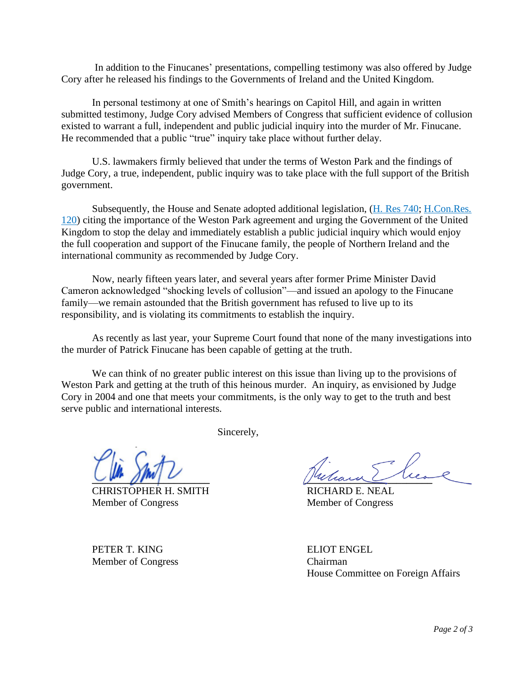In addition to the Finucanes' presentations, compelling testimony was also offered by Judge Cory after he released his findings to the Governments of Ireland and the United Kingdom.

In personal testimony at one of Smith's hearings on Capitol Hill, and again in written submitted testimony, Judge Cory advised Members of Congress that sufficient evidence of collusion existed to warrant a full, independent and public judicial inquiry into the murder of Mr. Finucane. He recommended that a public "true" inquiry take place without further delay.

U.S. lawmakers firmly believed that under the terms of Weston Park and the findings of Judge Cory, a true, independent, public inquiry was to take place with the full support of the British government.

Subsequently, the House and Senate adopted additional legislation, [\(H. Res 740;](https://urldefense.proofpoint.com/v2/url?u=https-3A__www.congress.gov_bill_109th-2Dcongress_house-2Dresolution_740_text-3Fq-3D-257B-2522search-2522-253A-255B-2522H.Res.-2B740-2522-255D-257D-26r-3D1-26s-3D7&d=DwMFaQ&c=L93KkjKsAC98uTvC4KvQDdTDRzAeWDDRmG6S3YXllH0&r=9zQ6VeoyaVflniCgJhF9ISiiw9Sy4K56tVQKknobeYA&m=CIOxdoJuNg19VyX5CsvXM64iIKYMKP1GCS0yl2yHKaQ&s=mqL9pzsPzC5GWxcYSnuYXYJ4doK3oOIsx9nbvKRaEhI&e=) [H.Con.Res.](https://urldefense.proofpoint.com/v2/url?u=https-3A__www.congress.gov_bill_110th-2Dcongress_house-2Dconcurrent-2Dresolution_20-3Fq-3D-257B-2522search-2522-253A-255B-2522H.Con.Res.-2B20-2522-255D-257D-26s-3D2-26r-3D3&d=DwMFaQ&c=L93KkjKsAC98uTvC4KvQDdTDRzAeWDDRmG6S3YXllH0&r=9zQ6VeoyaVflniCgJhF9ISiiw9Sy4K56tVQKknobeYA&m=CIOxdoJuNg19VyX5CsvXM64iIKYMKP1GCS0yl2yHKaQ&s=zYPWGhBPkUSQQILbSq6bE7QlFmNtFNOw1TVWn8sMUr4&e=)  [120\)](https://urldefense.proofpoint.com/v2/url?u=https-3A__www.congress.gov_bill_110th-2Dcongress_house-2Dconcurrent-2Dresolution_20-3Fq-3D-257B-2522search-2522-253A-255B-2522H.Con.Res.-2B20-2522-255D-257D-26s-3D2-26r-3D3&d=DwMFaQ&c=L93KkjKsAC98uTvC4KvQDdTDRzAeWDDRmG6S3YXllH0&r=9zQ6VeoyaVflniCgJhF9ISiiw9Sy4K56tVQKknobeYA&m=CIOxdoJuNg19VyX5CsvXM64iIKYMKP1GCS0yl2yHKaQ&s=zYPWGhBPkUSQQILbSq6bE7QlFmNtFNOw1TVWn8sMUr4&e=) citing the importance of the Weston Park agreement and urging the Government of the United Kingdom to stop the delay and immediately establish a public judicial inquiry which would enjoy the full cooperation and support of the Finucane family, the people of Northern Ireland and the international community as recommended by Judge Cory.

Now, nearly fifteen years later, and several years after former Prime Minister David Cameron acknowledged "shocking levels of collusion"—and issued an apology to the Finucane family—we remain astounded that the British government has refused to live up to its responsibility, and is violating its commitments to establish the inquiry.

As recently as last year, your Supreme Court found that none of the many investigations into the murder of Patrick Finucane has been capable of getting at the truth.

We can think of no greater public interest on this issue than living up to the provisions of Weston Park and getting at the truth of this heinous murder. An inquiry, as envisioned by Judge Cory in 2004 and one that meets your commitments, is the only way to get to the truth and best serve public and international interests.

Sincerely,

CHRISTOPHER H. SMITH RICHARD E. NEAL Member of Congress Member of Congress

PETER T. KING ELIOT ENGEL Member of Congress Chairman

 $\bigcup_{\mathcal{U}}\mathcal{U}$ 

House Committee on Foreign Affairs